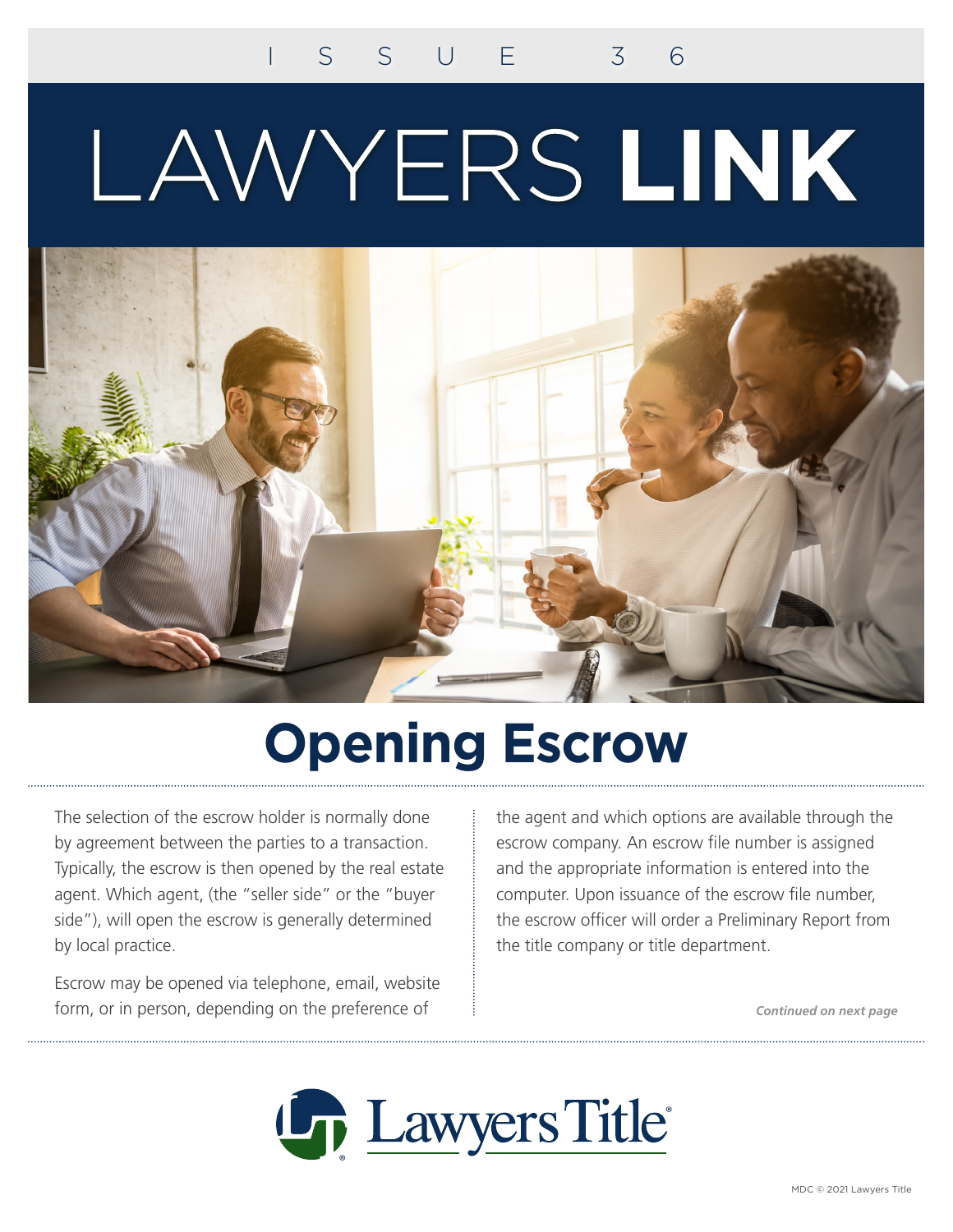# LAWYERS LINK



### **Opening Escrow**

The selection of the escrow holder is normally done by agreement between the parties to a transaction. Typically, the escrow is then opened by the real estate agent. Which agent, (the "seller side" or the "buyer side"), will open the escrow is generally determined by local practice.

Escrow may be opened via telephone, email, website form, or in person, depending on the preference of

the agent and which options are available through the escrow company. An escrow file number is assigned and the appropriate information is entered into the computer. Upon issuance of the escrow file number, the escrow officer will order a Preliminary Report from the title company or title department.

*Continued on next page*